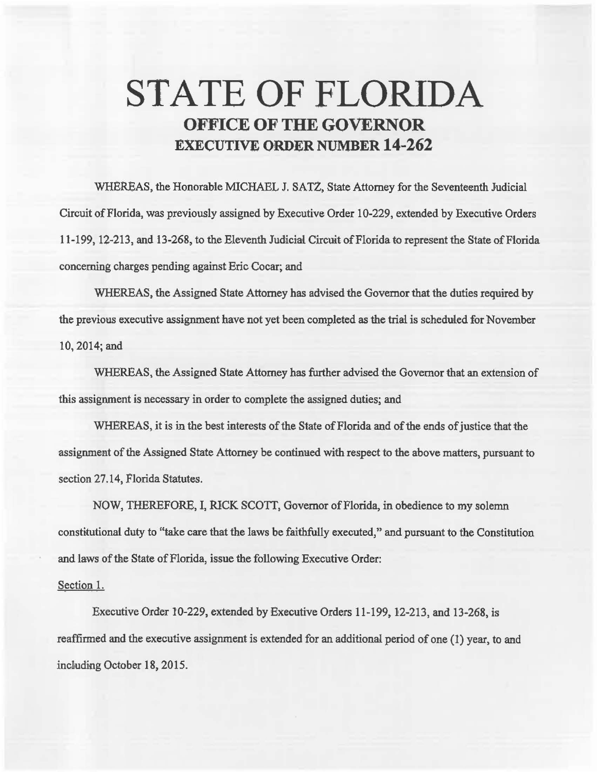## **STATE OF FLORIDA OFFICE OF THE GOVERNOR EXECUTIVE ORDER NUMBER 14-262**

WHEREAS, the Honorable MICHAEL J. SATZ, State Attorney for the Seventeenth Judicial Circuit of Florida, was previously assigned by Executive Order 10-229, extended by Executive Orders 11-199, 12-213, and 13-268, to the Eleventh Judicial Circuit of Florida to represent the State of Florida concerning charges pending against Eric Cocar; and

WHEREAS, the Assigned State Attorney has advised the Governor that the duties required by the previous executive assignment have not yet been completed as the trial is scheduled for November 10,2014;and

WHEREAS, the Assigned State Attorney has further advised the Governor that an extension of this assignment is necessary in order to complete the assigned duties; and

WHEREAS, it is in the best interests of the State of Florida and of the ends of justice that the assignment of the Assigned State Attorney be continued with respect to the above matters, pursuant to section 27.14, Florida Statutes.

NOW, THEREFORE, I, RICK SCOTT, Governor of Florida, in obedience to my solemn constitutional duty to "take care that the laws be faithfully executed," and pursuant to the Constitution and laws of the State of Florida, issue the following Executive Order:

## Section 1.

Executive Order 10-229, extended by Executive Orders 11-199, 12-213, and 13-268, is reaffirmed and the executive assignment is extended for an additional period of one (1) year, to and incliuding October 18, 2015.